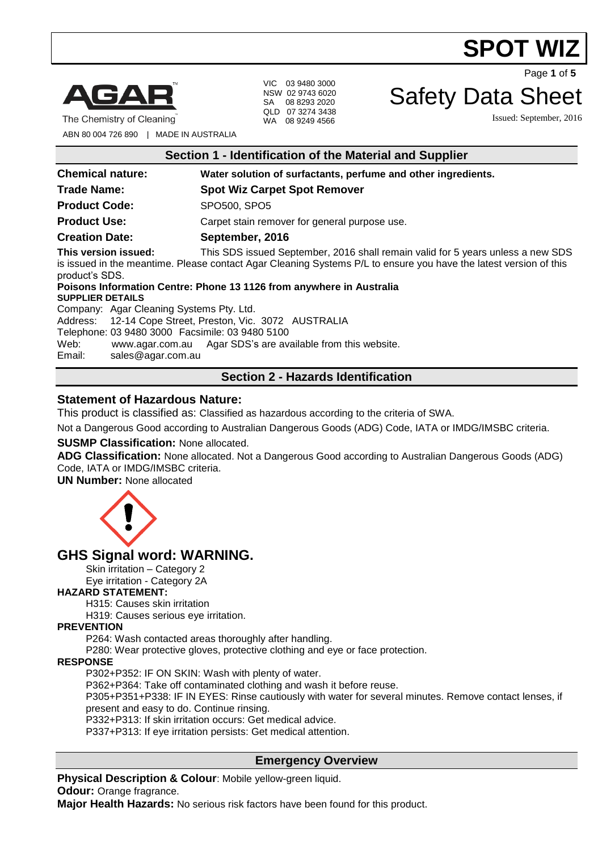# **SPOT WIZ**



The Chemistry of Cleaning

VIC 03 9480 3000 NSW 02 9743 6020 SA 08 8293 2020 QLD 07 3274 3438 WA 08 9249 4566

Page **1** of **5**

# Safety Data Sheet

Issued: September, 2016

ABN 80 004 726 890 | MADE IN AUSTRALIA

|  | Section 1 - Identification of the Material and Supplier |  |  |  |  |
|--|---------------------------------------------------------|--|--|--|--|
|--|---------------------------------------------------------|--|--|--|--|

| <b>Chemical nature:</b>                                                                                                                                                                                                                                                                                                                                                                                                                                                                                                                                                                                            | Water solution of surfactants, perfume and other ingredients. |  |
|--------------------------------------------------------------------------------------------------------------------------------------------------------------------------------------------------------------------------------------------------------------------------------------------------------------------------------------------------------------------------------------------------------------------------------------------------------------------------------------------------------------------------------------------------------------------------------------------------------------------|---------------------------------------------------------------|--|
| <b>Trade Name:</b>                                                                                                                                                                                                                                                                                                                                                                                                                                                                                                                                                                                                 | <b>Spot Wiz Carpet Spot Remover</b>                           |  |
| <b>Product Code:</b>                                                                                                                                                                                                                                                                                                                                                                                                                                                                                                                                                                                               | SPO500, SPO5                                                  |  |
| <b>Product Use:</b>                                                                                                                                                                                                                                                                                                                                                                                                                                                                                                                                                                                                | Carpet stain remover for general purpose use.                 |  |
| <b>Creation Date:</b>                                                                                                                                                                                                                                                                                                                                                                                                                                                                                                                                                                                              | September, 2016                                               |  |
| This version issued:<br>This SDS issued September, 2016 shall remain valid for 5 years unless a new SDS<br>is issued in the meantime. Please contact Agar Cleaning Systems P/L to ensure you have the latest version of this<br>product's SDS.<br>Poisons Information Centre: Phone 13 1126 from anywhere in Australia<br><b>SUPPLIER DETAILS</b><br>Company: Agar Cleaning Systems Pty. Ltd.<br>Address: 12-14 Cope Street, Preston, Vic. 3072 AUSTRALIA<br>Telephone: 03 9480 3000 Facsimile: 03 9480 5100<br>www.agar.com.au Agar SDS's are available from this website.<br>Web:<br>Email:<br>sales@agar.com.au |                                                               |  |
| <b>Section 2 - Hazards Identification</b>                                                                                                                                                                                                                                                                                                                                                                                                                                                                                                                                                                          |                                                               |  |

# **Statement of Hazardous Nature:**

This product is classified as: Classified as hazardous according to the criteria of SWA.

Not a Dangerous Good according to Australian Dangerous Goods (ADG) Code, IATA or IMDG/IMSBC criteria.

### **SUSMP Classification:** None allocated.

**ADG Classification:** None allocated. Not a Dangerous Good according to Australian Dangerous Goods (ADG) Code, IATA or IMDG/IMSBC criteria.

**UN Number:** None allocated



# **GHS Signal word: WARNING.**

Skin irritation – Category 2 Eye irritation - Category 2A

### **HAZARD STATEMENT:**

H315: Causes skin irritation

H319: Causes serious eye irritation.

## **PREVENTION**

P264: Wash contacted areas thoroughly after handling.

P280: Wear protective gloves, protective clothing and eye or face protection.

#### **RESPONSE**

P302+P352: IF ON SKIN: Wash with plenty of water.

P362+P364: Take off contaminated clothing and wash it before reuse.

P305+P351+P338: IF IN EYES: Rinse cautiously with water for several minutes. Remove contact lenses, if present and easy to do. Continue rinsing.

P332+P313: If skin irritation occurs: Get medical advice.

P337+P313: If eye irritation persists: Get medical attention.

# **Emergency Overview**

**Physical Description & Colour**: Mobile yellow-green liquid. **Odour:** Orange fragrance.

**Major Health Hazards:** No serious risk factors have been found for this product.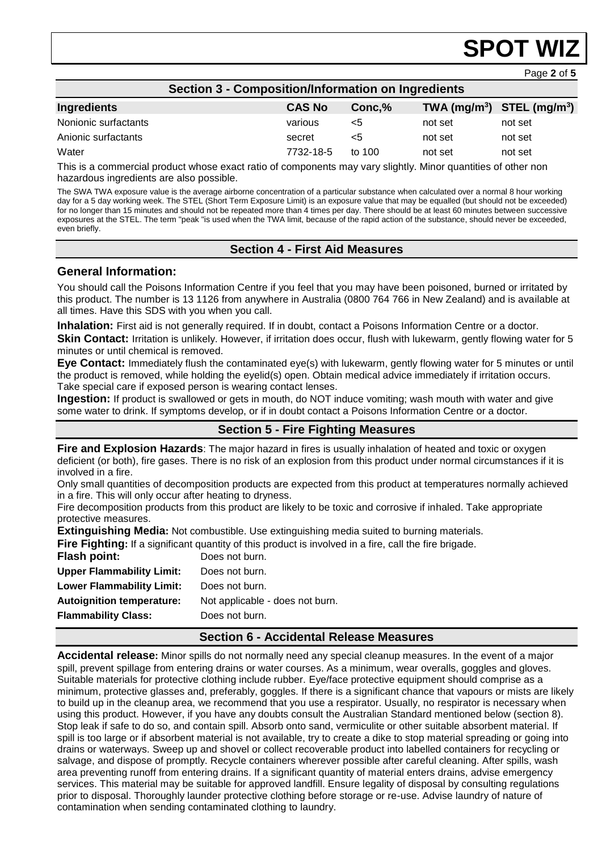# **SPOT WIZ**

Page **2** of **5**

| <b>Section 3 - Composition/Information on Ingredients</b> |               |          |         |                                |
|-----------------------------------------------------------|---------------|----------|---------|--------------------------------|
| <b>Ingredients</b>                                        | <b>CAS No</b> | Conc, %  |         | TWA $(mg/m^3)$ STEL $(mg/m^3)$ |
| Nonionic surfactants                                      | various       | <5       | not set | not set                        |
| Anionic surfactants                                       | secret        | <5       | not set | not set                        |
| Water                                                     | 7732-18-5     | to $100$ | not set | not set                        |

This is a commercial product whose exact ratio of components may vary slightly. Minor quantities of other non hazardous ingredients are also possible.

The SWA TWA exposure value is the average airborne concentration of a particular substance when calculated over a normal 8 hour working day for a 5 day working week. The STEL (Short Term Exposure Limit) is an exposure value that may be equalled (but should not be exceeded) for no longer than 15 minutes and should not be repeated more than 4 times per day. There should be at least 60 minutes between successive exposures at the STEL. The term "peak "is used when the TWA limit, because of the rapid action of the substance, should never be exceeded, even briefly.

# **Section 4 - First Aid Measures**

# **General Information:**

You should call the Poisons Information Centre if you feel that you may have been poisoned, burned or irritated by this product. The number is 13 1126 from anywhere in Australia (0800 764 766 in New Zealand) and is available at all times. Have this SDS with you when you call.

**Inhalation:** First aid is not generally required. If in doubt, contact a Poisons Information Centre or a doctor. **Skin Contact:** Irritation is unlikely. However, if irritation does occur, flush with lukewarm, gently flowing water for 5 minutes or until chemical is removed.

**Eye Contact:** Immediately flush the contaminated eye(s) with lukewarm, gently flowing water for 5 minutes or until the product is removed, while holding the eyelid(s) open. Obtain medical advice immediately if irritation occurs. Take special care if exposed person is wearing contact lenses.

**Ingestion:** If product is swallowed or gets in mouth, do NOT induce vomiting; wash mouth with water and give some water to drink. If symptoms develop, or if in doubt contact a Poisons Information Centre or a doctor.

# **Section 5 - Fire Fighting Measures**

**Fire and Explosion Hazards**: The major hazard in fires is usually inhalation of heated and toxic or oxygen deficient (or both), fire gases. There is no risk of an explosion from this product under normal circumstances if it is involved in a fire.

Only small quantities of decomposition products are expected from this product at temperatures normally achieved in a fire. This will only occur after heating to dryness.

Fire decomposition products from this product are likely to be toxic and corrosive if inhaled. Take appropriate protective measures.

**Extinguishing Media:** Not combustible. Use extinguishing media suited to burning materials.<br>
Fire Fighting: If a significant quantity of this product is involved in a fire, call the fire brigade.

|                                  | Fire Fighting: If a significant quantity of this product is involved in a fire, call the fire brigade. |
|----------------------------------|--------------------------------------------------------------------------------------------------------|
| Flash point:                     | Does not burn.                                                                                         |
| <b>Upper Flammability Limit:</b> | Does not burn.                                                                                         |
| <b>Lower Flammability Limit:</b> | Does not burn.                                                                                         |
| <b>Autoignition temperature:</b> | Not applicable - does not burn.                                                                        |
| <b>Flammability Class:</b>       | Does not burn.                                                                                         |
|                                  |                                                                                                        |

### **Section 6 - Accidental Release Measures**

**Accidental release:** Minor spills do not normally need any special cleanup measures. In the event of a major spill, prevent spillage from entering drains or water courses. As a minimum, wear overalls, goggles and gloves. Suitable materials for protective clothing include rubber. Eye/face protective equipment should comprise as a minimum, protective glasses and, preferably, goggles. If there is a significant chance that vapours or mists are likely to build up in the cleanup area, we recommend that you use a respirator. Usually, no respirator is necessary when using this product. However, if you have any doubts consult the Australian Standard mentioned below (section 8). Stop leak if safe to do so, and contain spill. Absorb onto sand, vermiculite or other suitable absorbent material. If spill is too large or if absorbent material is not available, try to create a dike to stop material spreading or going into drains or waterways. Sweep up and shovel or collect recoverable product into labelled containers for recycling or salvage, and dispose of promptly. Recycle containers wherever possible after careful cleaning. After spills, wash area preventing runoff from entering drains. If a significant quantity of material enters drains, advise emergency services. This material may be suitable for approved landfill. Ensure legality of disposal by consulting regulations prior to disposal. Thoroughly launder protective clothing before storage or re-use. Advise laundry of nature of contamination when sending contaminated clothing to laundry.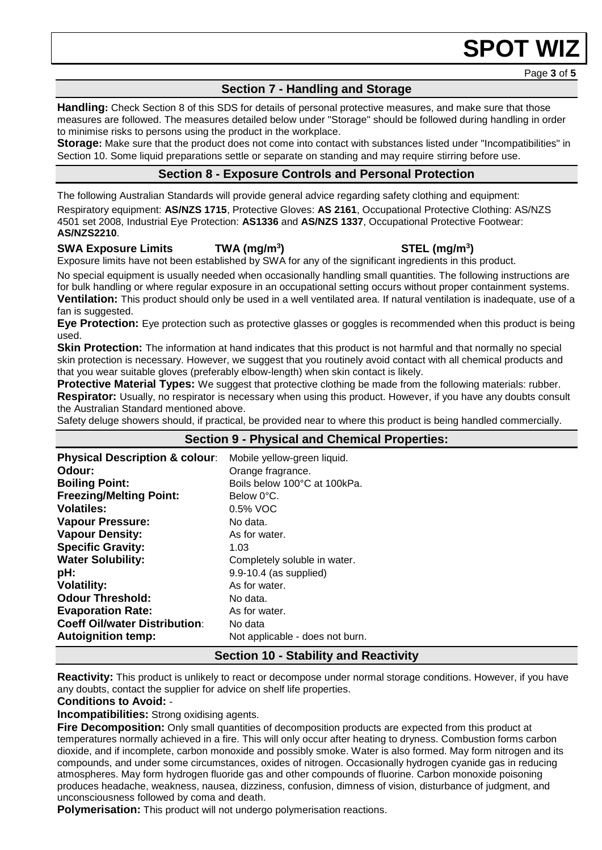# **SPOT WIZ**

Page **3** of **5**

# **Section 7 - Handling and Storage**

**Handling:** Check Section 8 of this SDS for details of personal protective measures, and make sure that those measures are followed. The measures detailed below under "Storage" should be followed during handling in order to minimise risks to persons using the product in the workplace.

**Storage:** Make sure that the product does not come into contact with substances listed under "Incompatibilities" in Section 10. Some liquid preparations settle or separate on standing and may require stirring before use.

# **Section 8 - Exposure Controls and Personal Protection**

The following Australian Standards will provide general advice regarding safety clothing and equipment: Respiratory equipment: **AS/NZS 1715**, Protective Gloves: **AS 2161**, Occupational Protective Clothing: AS/NZS 4501 set 2008, Industrial Eye Protection: **AS1336** and **AS/NZS 1337**, Occupational Protective Footwear: **AS/NZS2210**.

# **SWA Exposure Limits TWA (mg/m<sup>3</sup>**

Exposure limits have not been established by SWA for any of the significant ingredients in this product.

No special equipment is usually needed when occasionally handling small quantities. The following instructions are for bulk handling or where regular exposure in an occupational setting occurs without proper containment systems. **Ventilation:** This product should only be used in a well ventilated area. If natural ventilation is inadequate, use of a fan is suggested.

**Eye Protection:** Eye protection such as protective glasses or goggles is recommended when this product is being used.

**Skin Protection:** The information at hand indicates that this product is not harmful and that normally no special skin protection is necessary. However, we suggest that you routinely avoid contact with all chemical products and that you wear suitable gloves (preferably elbow-length) when skin contact is likely.

**Protective Material Types:** We suggest that protective clothing be made from the following materials: rubber. **Respirator:** Usually, no respirator is necessary when using this product. However, if you have any doubts consult the Australian Standard mentioned above.

Safety deluge showers should, if practical, be provided near to where this product is being handled commercially.

| <b>Section 9 - Physical and Chemical Properties:</b> |                                 |  |
|------------------------------------------------------|---------------------------------|--|
| <b>Physical Description &amp; colour:</b>            | Mobile yellow-green liquid.     |  |
| Odour:                                               | Orange fragrance.               |  |
| <b>Boiling Point:</b>                                | Boils below 100°C at 100kPa.    |  |
| <b>Freezing/Melting Point:</b>                       | Below 0°C.                      |  |
| <b>Volatiles:</b>                                    | 0.5% VOC                        |  |
| <b>Vapour Pressure:</b>                              | No data.                        |  |
| <b>Vapour Density:</b>                               | As for water.                   |  |
| <b>Specific Gravity:</b>                             | 1.03                            |  |
| <b>Water Solubility:</b>                             | Completely soluble in water.    |  |
| pH:                                                  | 9.9-10.4 (as supplied)          |  |
| <b>Volatility:</b>                                   | As for water.                   |  |
| <b>Odour Threshold:</b>                              | No data.                        |  |
| <b>Evaporation Rate:</b>                             | As for water.                   |  |
| <b>Coeff Oil/water Distribution:</b>                 | No data                         |  |
| <b>Autoignition temp:</b>                            | Not applicable - does not burn. |  |
| <b>Section 10 - Stability and Reactivity</b>         |                                 |  |

**Reactivity:** This product is unlikely to react or decompose under normal storage conditions. However, if you have any doubts, contact the supplier for advice on shelf life properties.

### **Conditions to Avoid:** -

**Incompatibilities:** Strong oxidising agents.

**Fire Decomposition:** Only small quantities of decomposition products are expected from this product at temperatures normally achieved in a fire. This will only occur after heating to dryness. Combustion forms carbon dioxide, and if incomplete, carbon monoxide and possibly smoke. Water is also formed. May form nitrogen and its compounds, and under some circumstances, oxides of nitrogen. Occasionally hydrogen cyanide gas in reducing atmospheres. May form hydrogen fluoride gas and other compounds of fluorine. Carbon monoxide poisoning produces headache, weakness, nausea, dizziness, confusion, dimness of vision, disturbance of judgment, and unconsciousness followed by coma and death.

**Polymerisation:** This product will not undergo polymerisation reactions.

# **) STEL (mg/m<sup>3</sup> )**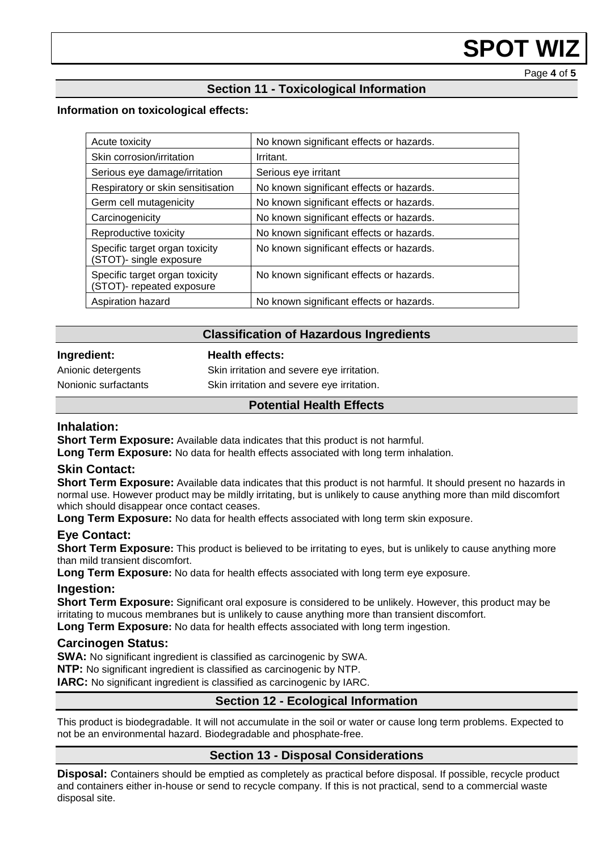# **SPOT WI**

Page **4** of **5**

# **Section 11 - Toxicological Information**

## **Information on toxicological effects:**

| Acute toxicity                                                  | No known significant effects or hazards. |
|-----------------------------------------------------------------|------------------------------------------|
| Skin corrosion/irritation                                       | Irritant.                                |
| Serious eye damage/irritation                                   | Serious eye irritant                     |
| Respiratory or skin sensitisation                               | No known significant effects or hazards. |
| Germ cell mutagenicity                                          | No known significant effects or hazards. |
| Carcinogenicity                                                 | No known significant effects or hazards. |
| Reproductive toxicity                                           | No known significant effects or hazards. |
| Specific target organ toxicity<br><b>STOT)-</b> single exposure | No known significant effects or hazards. |
| Specific target organ toxicity<br>(STOT)- repeated exposure     | No known significant effects or hazards. |
| Aspiration hazard                                               | No known significant effects or hazards. |

# **Classification of Hazardous Ingredients**

# **Ingredient: Health effects:**

Anionic detergents Skin irritation and severe eye irritation. Nonionic surfactants Skin irritation and severe eye irritation.

# **Potential Health Effects**

## **Inhalation:**

**Short Term Exposure:** Available data indicates that this product is not harmful.

**Long Term Exposure:** No data for health effects associated with long term inhalation.

### **Skin Contact:**

**Short Term Exposure:** Available data indicates that this product is not harmful. It should present no hazards in normal use. However product may be mildly irritating, but is unlikely to cause anything more than mild discomfort which should disappear once contact ceases.

**Long Term Exposure:** No data for health effects associated with long term skin exposure.

# **Eye Contact:**

**Short Term Exposure:** This product is believed to be irritating to eyes, but is unlikely to cause anything more than mild transient discomfort.

**Long Term Exposure:** No data for health effects associated with long term eye exposure.

### **Ingestion:**

**Short Term Exposure:** Significant oral exposure is considered to be unlikely. However, this product may be irritating to mucous membranes but is unlikely to cause anything more than transient discomfort. **Long Term Exposure:** No data for health effects associated with long term ingestion.

### **Carcinogen Status:**

**SWA:** No significant ingredient is classified as carcinogenic by SWA.

**NTP:** No significant ingredient is classified as carcinogenic by NTP.

**IARC:** No significant ingredient is classified as carcinogenic by IARC.

# **Section 12 - Ecological Information**

This product is biodegradable. It will not accumulate in the soil or water or cause long term problems. Expected to not be an environmental hazard. Biodegradable and phosphate-free.

# **Section 13 - Disposal Considerations**

**Disposal:** Containers should be emptied as completely as practical before disposal. If possible, recycle product and containers either in-house or send to recycle company. If this is not practical, send to a commercial waste disposal site.